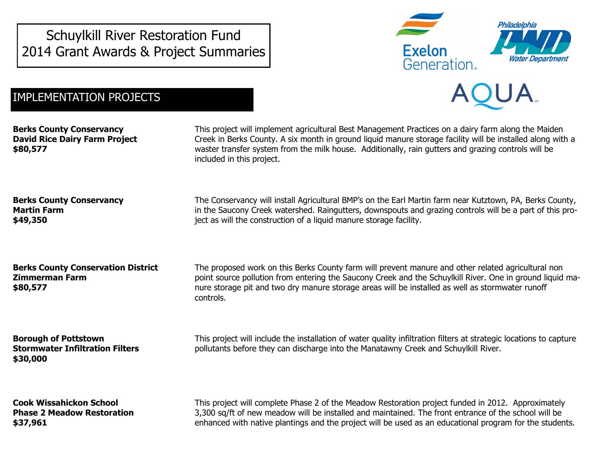Schuylkill River Restoration Fund 2014 Grant Awards & Project Summaries



## IMPLEMENTATION PROJECTS



**Berks County Conservancy David Rice Dairy Farm Project \$80,577**

This project will implement agricultural Best Management Practices on a dairy farm along the Maiden Creek in Berks County. A six month in ground liquid manure storage facility will be installed along with a waster transfer system from the milk house. Additionally, rain gutters and grazing controls will be included in this project.

**Berks County Conservancy Martin Farm \$49,350**

**Berks County Conservation District Zimmerman Farm \$80,577**

**Borough of Pottstown Stormwater Infiltration Filters \$30,000**

**Cook Wissahickon School Phase 2 Meadow Restoration \$37,961**

The Conservancy will install Agricultural BMP's on the Earl Martin farm near Kutztown, PA, Berks County, in the Saucony Creek watershed. Raingutters, downspouts and grazing controls will be a part of this project as will the construction of a liquid manure storage facility.

The proposed work on this Berks County farm will prevent manure and other related agricultural non point source pollution from entering the Saucony Creek and the Schuylkill River. One in ground liquid manure storage pit and two dry manure storage areas will be installed as well as stormwater runoff controls.

This project will include the installation of water quality infiltration filters at strategic locations to capture pollutants before they can discharge into the Manatawny Creek and Schuylkill River.

This project will complete Phase 2 of the Meadow Restoration project funded in 2012. Approximately 3,300 sq/ft of new meadow will be installed and maintained. The front entrance of the school will be enhanced with native plantings and the project will be used as an educational program for the students.